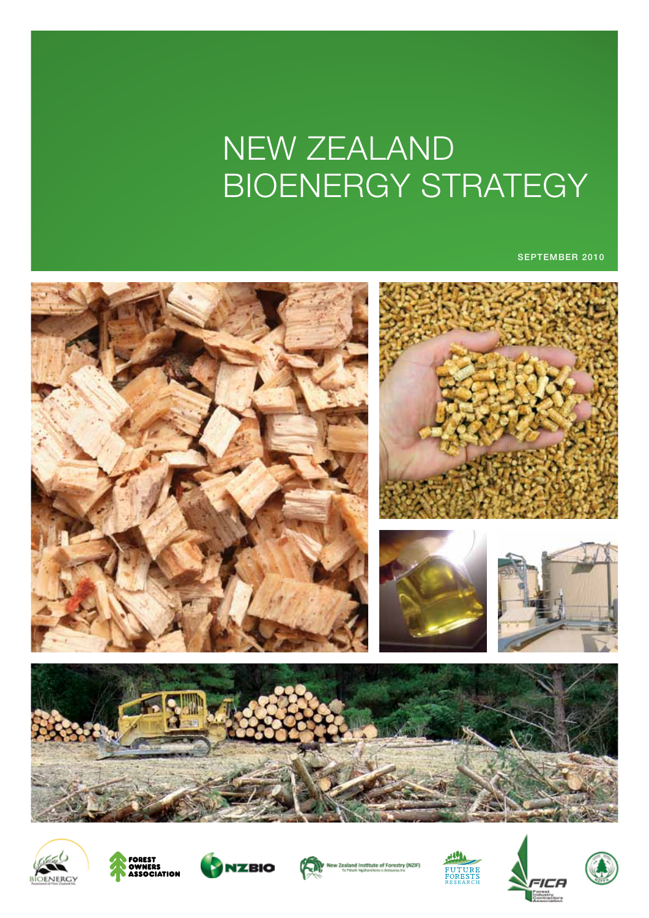# New Zealand BIOENERGY STRATEGY

september 2010















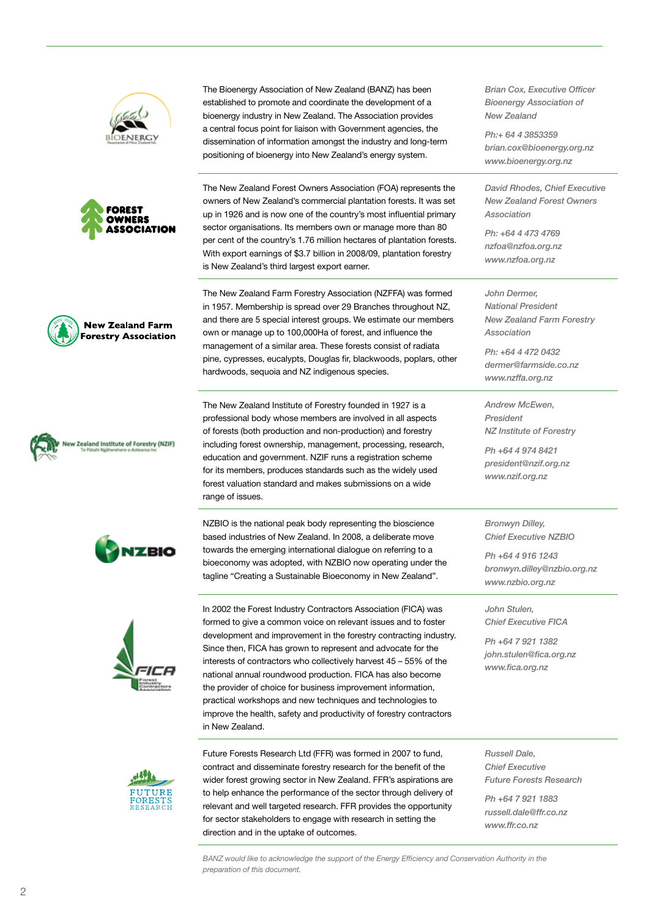





**New Zealand Farm Forestry Association** 







The Bioenergy Association of New Zealand (BANZ) has been established to promote and coordinate the development of a bioenergy industry in New Zealand. The Association provides a central focus point for liaison with Government agencies, the dissemination of information amongst the industry and long-term positioning of bioenergy into New Zealand's energy system.

The New Zealand Forest Owners Association (FOA) represents the owners of New Zealand's commercial plantation forests. It was set up in 1926 and is now one of the country's most influential primary sector organisations. Its members own or manage more than 80 per cent of the country's 1.76 million hectares of plantation forests. With export earnings of \$3.7 billion in 2008/09, plantation forestry is New Zealand's third largest export earner.

The New Zealand Farm Forestry Association (NZFFA) was formed in 1957. Membership is spread over 29 Branches throughout NZ, and there are 5 special interest groups. We estimate our members own or manage up to 100,000Ha of forest, and influence the management of a similar area. These forests consist of radiata pine, cypresses, eucalypts, Douglas fir, blackwoods, poplars, other hardwoods, sequoia and NZ indigenous species.

The New Zealand Institute of Forestry founded in 1927 is a professional body whose members are involved in all aspects of forests (both production and non-production) and forestry including forest ownership, management, processing, research, education and government. NZIF runs a registration scheme for its members, produces standards such as the widely used forest valuation standard and makes submissions on a wide range of issues.

NZBIO is the national peak body representing the bioscience based industries of New Zealand. In 2008, a deliberate move towards the emerging international dialogue on referring to a bioeconomy was adopted, with NZBIO now operating under the tagline "Creating a Sustainable Bioeconomy in New Zealand".

In 2002 the Forest Industry Contractors Association (FICA) was formed to give a common voice on relevant issues and to foster development and improvement in the forestry contracting industry. Since then, FICA has grown to represent and advocate for the interests of contractors who collectively harvest 45 – 55% of the national annual roundwood production. FICA has also become the provider of choice for business improvement information, practical workshops and new techniques and technologies to improve the health, safety and productivity of forestry contractors in New Zealand.



Future Forests Research Ltd (FFR) was formed in 2007 to fund, contract and disseminate forestry research for the benefit of the wider forest growing sector in New Zealand. FFR's aspirations are to help enhance the performance of the sector through delivery of relevant and well targeted research. FFR provides the opportunity for sector stakeholders to engage with research in setting the direction and in the uptake of outcomes.

*Brian Cox, Executive Officer Bioenergy Association of New Zealand* 

*Ph:+ 64 4 3853359 brian.cox@bioenergy.org.nz www.bioenergy.org.nz*

*David Rhodes, Chief Executive New Zealand Forest Owners Association* 

*Ph: +64 4 473 4769 nzfoa@nzfoa.org.nz www.nzfoa.org.nz*

*John Dermer, National President New Zealand Farm Forestry Association* 

*Ph: +64 4 472 0432 dermer@farmside.co.nz www.nzffa.org.nz*

*Andrew McEwen, President NZ Institute of Forestry* 

*Ph +64 4 974 8421 president@nzif.org.nz www.nzif.org.nz*

*Bronwyn Dilley, Chief Executive NZBIO* 

*Ph +64 4 916 1243 bronwyn.dilley@nzbio.org.nz www.nzbio.org.nz*

*John Stulen, Chief Executive FICA* 

*Ph +64 7 921 1382 john.stulen@fica.org.nz www.fica.org.nz*

*Russell Dale, Chief Executive Future Forests Research* 

*Ph +64 7 921 1883 russell.dale@ffr.co.nz www.ffr.co.nz*

*BANZ would like to acknowledge the support of the Energy Efficiency and Conservation Authority in the preparation of this document.*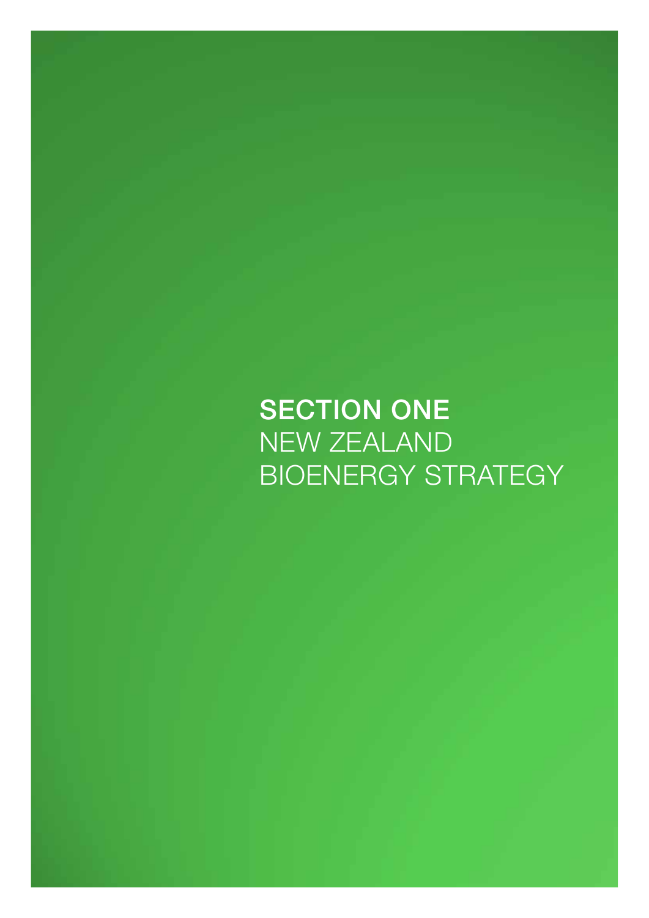**SECTION ONE** New Zealand BIOENERGY STRATEGY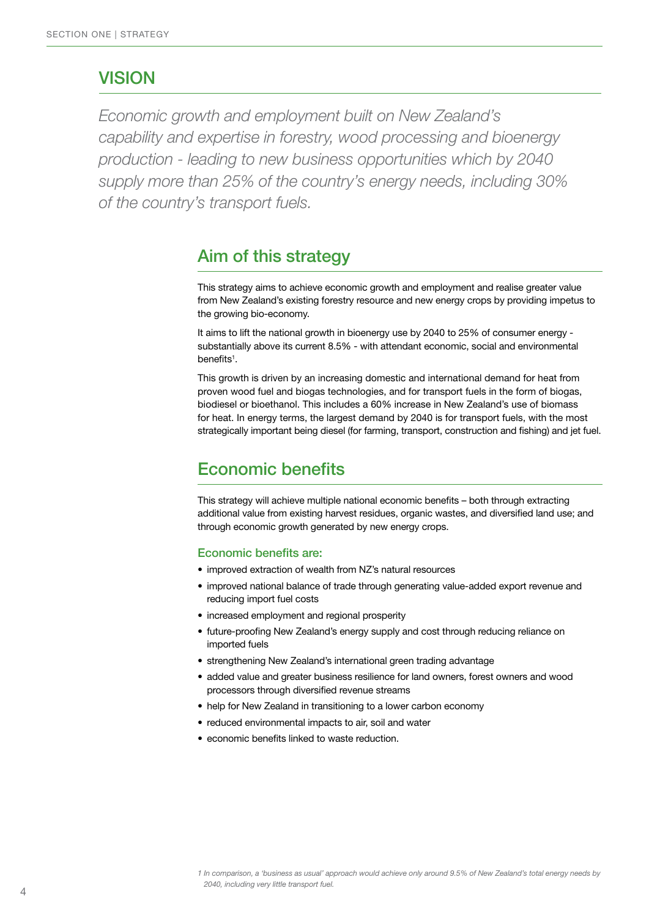### VISION

*Economic growth and employment built on New Zealand's capability and expertise in forestry, wood processing and bioenergy production - leading to new business opportunities which by 2040 supply more than 25% of the country's energy needs, including 30% of the country's transport fuels.*

### Aim of this strategy

This strategy aims to achieve economic growth and employment and realise greater value from New Zealand's existing forestry resource and new energy crops by providing impetus to the growing bio-economy.

It aims to lift the national growth in bioenergy use by 2040 to 25% of consumer energy substantially above its current 8.5% - with attendant economic, social and environmental benefits<sup>1</sup>.

This growth is driven by an increasing domestic and international demand for heat from proven wood fuel and biogas technologies, and for transport fuels in the form of biogas, biodiesel or bioethanol. This includes a 60% increase in New Zealand's use of biomass for heat. In energy terms, the largest demand by 2040 is for transport fuels, with the most strategically important being diesel (for farming, transport, construction and fishing) and jet fuel.

# Economic benefits

This strategy will achieve multiple national economic benefits – both through extracting additional value from existing harvest residues, organic wastes, and diversified land use; and through economic growth generated by new energy crops.

#### Economic benefits are:

- improved extraction of wealth from NZ's natural resources
- improved national balance of trade through generating value-added export revenue and reducing import fuel costs
- increased employment and regional prosperity
- future-proofing New Zealand's energy supply and cost through reducing reliance on imported fuels
- strengthening New Zealand's international green trading advantage
- added value and greater business resilience for land owners, forest owners and wood processors through diversified revenue streams
- help for New Zealand in transitioning to a lower carbon economy
- reduced environmental impacts to air, soil and water
- • economic benefits linked to waste reduction.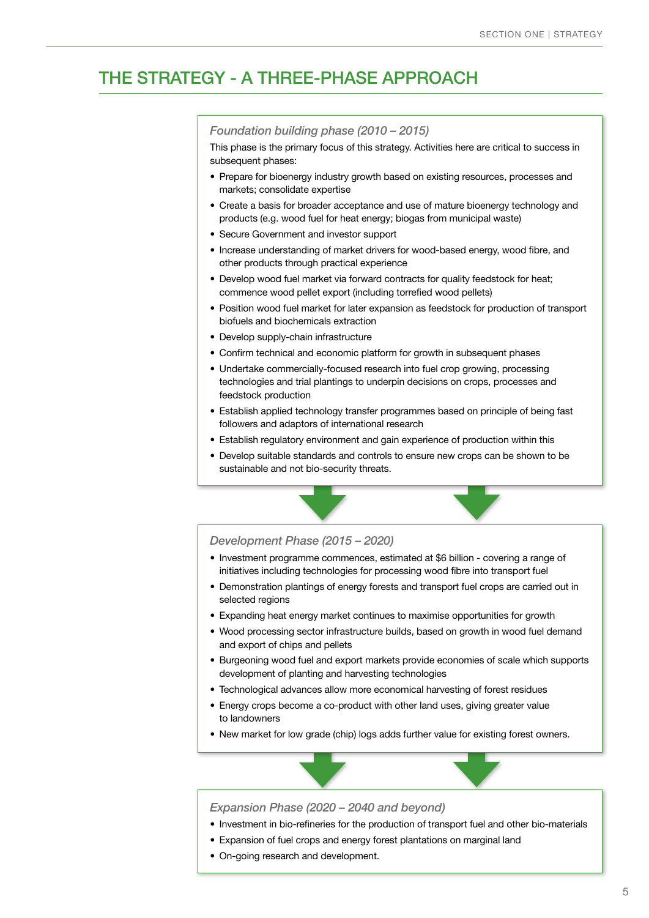# the strategy - A three-phase approach

#### *Foundation building phase (2010 – 2015)*

This phase is the primary focus of this strategy. Activities here are critical to success in subsequent phases:

- Prepare for bioenergy industry growth based on existing resources, processes and markets; consolidate expertise
- Create a basis for broader acceptance and use of mature bioenergy technology and products (e.g. wood fuel for heat energy; biogas from municipal waste)
- Secure Government and investor support
- Increase understanding of market drivers for wood-based energy, wood fibre, and other products through practical experience
- Develop wood fuel market via forward contracts for quality feedstock for heat; commence wood pellet export (including torrefied wood pellets)
- Position wood fuel market for later expansion as feedstock for production of transport biofuels and biochemicals extraction
- Develop supply-chain infrastructure
- Confirm technical and economic platform for growth in subsequent phases
- Undertake commercially-focused research into fuel crop growing, processing technologies and trial plantings to underpin decisions on crops, processes and feedstock production
- Establish applied technology transfer programmes based on principle of being fast followers and adaptors of international research
- Establish regulatory environment and gain experience of production within this
- • Develop suitable standards and controls to ensure new crops can be shown to be sustainable and not bio-security threats.



- Investment programme commences, estimated at \$6 billion covering a range of initiatives including technologies for processing wood fibre into transport fuel
- Demonstration plantings of energy forests and transport fuel crops are carried out in selected regions
- Expanding heat energy market continues to maximise opportunities for growth
- Wood processing sector infrastructure builds, based on growth in wood fuel demand and export of chips and pellets
- • Burgeoning wood fuel and export markets provide economies of scale which supports development of planting and harvesting technologies
- Technological advances allow more economical harvesting of forest residues
- Energy crops become a co-product with other land uses, giving greater value to landowners
- New market for low grade (chip) logs adds further value for existing forest owners.

#### *Expansion Phase (2020 – 2040 and beyond)*

- Investment in bio-refineries for the production of transport fuel and other bio-materials
- Expansion of fuel crops and energy forest plantations on marginal land
- On-going research and development.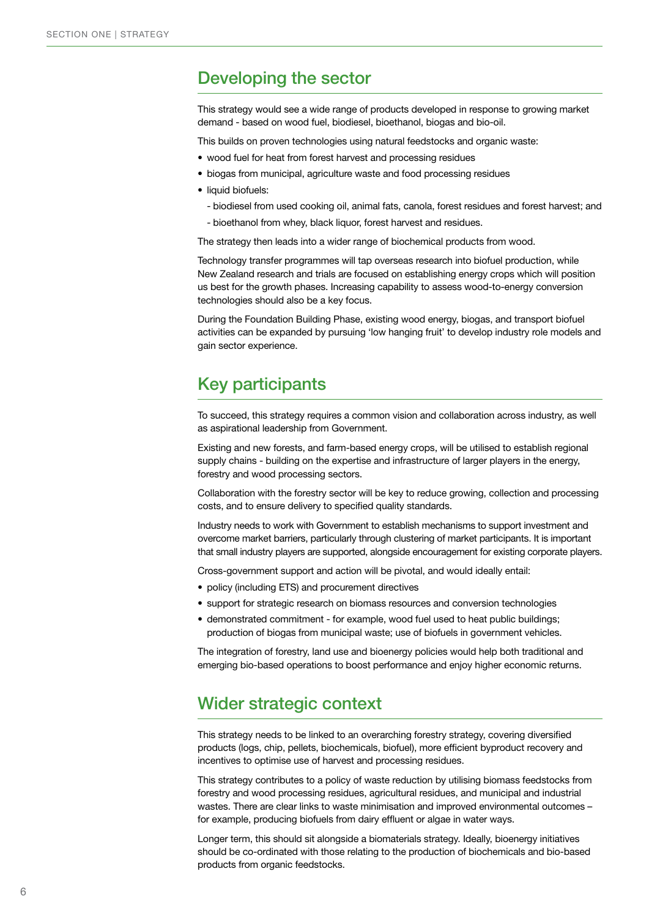### Developing the sector

This strategy would see a wide range of products developed in response to growing market demand - based on wood fuel, biodiesel, bioethanol, biogas and bio-oil.

This builds on proven technologies using natural feedstocks and organic waste:

- wood fuel for heat from forest harvest and processing residues
- biogas from municipal, agriculture waste and food processing residues
- liquid biofuels:
	- biodiesel from used cooking oil, animal fats, canola, forest residues and forest harvest; and
	- bioethanol from whey, black liquor, forest harvest and residues.

The strategy then leads into a wider range of biochemical products from wood.

Technology transfer programmes will tap overseas research into biofuel production, while New Zealand research and trials are focused on establishing energy crops which will position us best for the growth phases. Increasing capability to assess wood-to-energy conversion technologies should also be a key focus.

During the Foundation Building Phase, existing wood energy, biogas, and transport biofuel activities can be expanded by pursuing 'low hanging fruit' to develop industry role models and gain sector experience.

# Key participants

To succeed, this strategy requires a common vision and collaboration across industry, as well as aspirational leadership from Government.

Existing and new forests, and farm-based energy crops, will be utilised to establish regional supply chains - building on the expertise and infrastructure of larger players in the energy, forestry and wood processing sectors.

Collaboration with the forestry sector will be key to reduce growing, collection and processing costs, and to ensure delivery to specified quality standards.

Industry needs to work with Government to establish mechanisms to support investment and overcome market barriers, particularly through clustering of market participants. It is important that small industry players are supported, alongside encouragement for existing corporate players.

Cross-government support and action will be pivotal, and would ideally entail:

- policy (including ETS) and procurement directives
- support for strategic research on biomass resources and conversion technologies
- demonstrated commitment for example, wood fuel used to heat public buildings; production of biogas from municipal waste; use of biofuels in government vehicles.

The integration of forestry, land use and bioenergy policies would help both traditional and emerging bio-based operations to boost performance and enjoy higher economic returns.

### Wider strategic context

This strategy needs to be linked to an overarching forestry strategy, covering diversified products (logs, chip, pellets, biochemicals, biofuel), more efficient byproduct recovery and incentives to optimise use of harvest and processing residues.

This strategy contributes to a policy of waste reduction by utilising biomass feedstocks from forestry and wood processing residues, agricultural residues, and municipal and industrial wastes. There are clear links to waste minimisation and improved environmental outcomes – for example, producing biofuels from dairy effluent or algae in water ways.

Longer term, this should sit alongside a biomaterials strategy. Ideally, bioenergy initiatives should be co-ordinated with those relating to the production of biochemicals and bio-based products from organic feedstocks.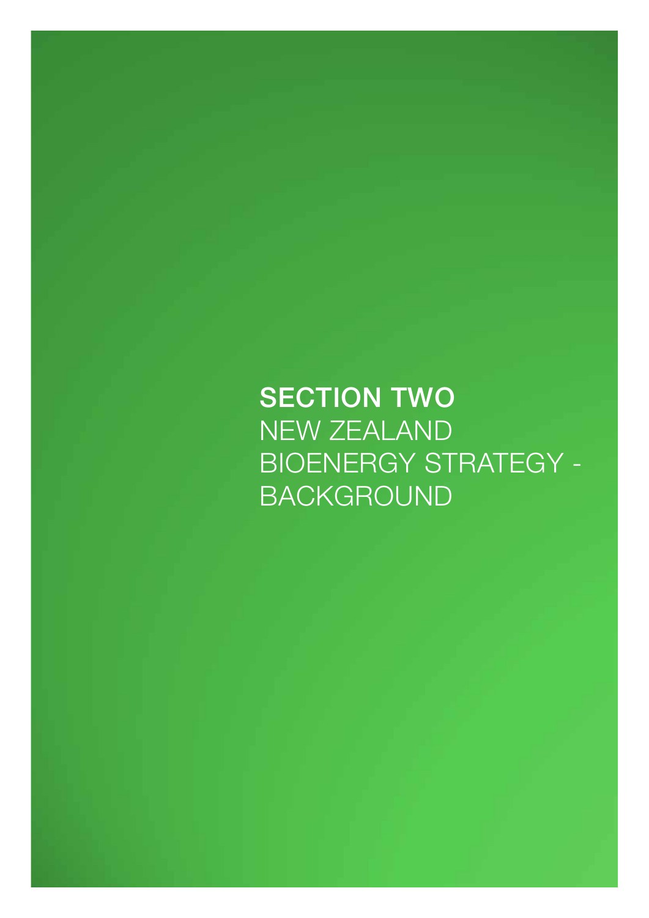**SECTION TWO** New Zealand BIOENERGY STRATEGY -**BACKGROUND**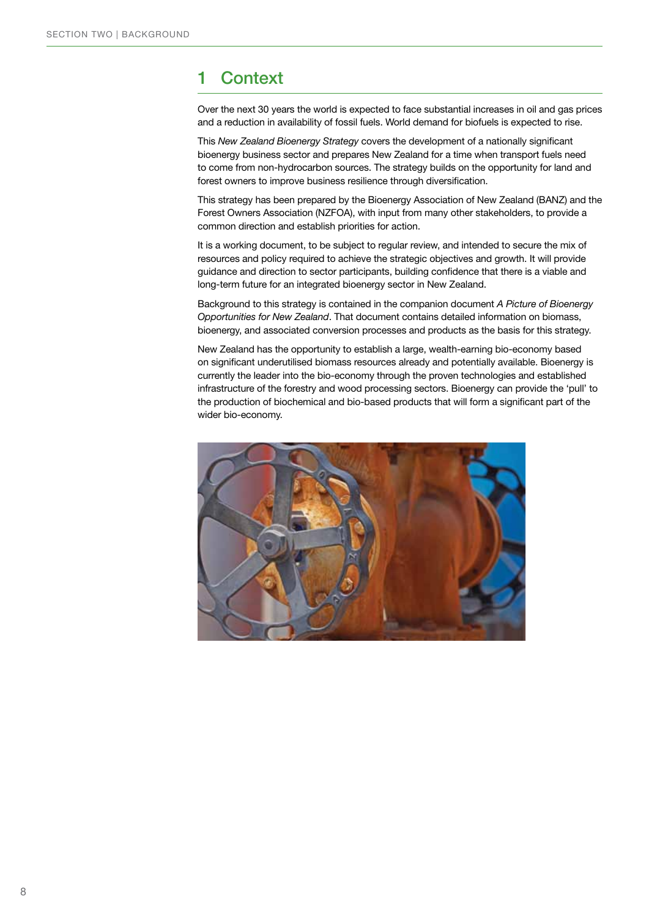# 1 Context

Over the next 30 years the world is expected to face substantial increases in oil and gas prices and a reduction in availability of fossil fuels. World demand for biofuels is expected to rise.

This *New Zealand Bioenergy Strategy* covers the development of a nationally significant bioenergy business sector and prepares New Zealand for a time when transport fuels need to come from non-hydrocarbon sources. The strategy builds on the opportunity for land and forest owners to improve business resilience through diversification.

This strategy has been prepared by the Bioenergy Association of New Zealand (BANZ) and the Forest Owners Association (NZFOA), with input from many other stakeholders, to provide a common direction and establish priorities for action.

It is a working document, to be subject to regular review, and intended to secure the mix of resources and policy required to achieve the strategic objectives and growth. It will provide guidance and direction to sector participants, building confidence that there is a viable and long-term future for an integrated bioenergy sector in New Zealand.

Background to this strategy is contained in the companion document *A Picture of Bioenergy Opportunities for New Zealand*. That document contains detailed information on biomass, bioenergy, and associated conversion processes and products as the basis for this strategy.

New Zealand has the opportunity to establish a large, wealth-earning bio-economy based on significant underutilised biomass resources already and potentially available. Bioenergy is currently the leader into the bio-economy through the proven technologies and established infrastructure of the forestry and wood processing sectors. Bioenergy can provide the 'pull' to the production of biochemical and bio-based products that will form a significant part of the wider bio-economy.

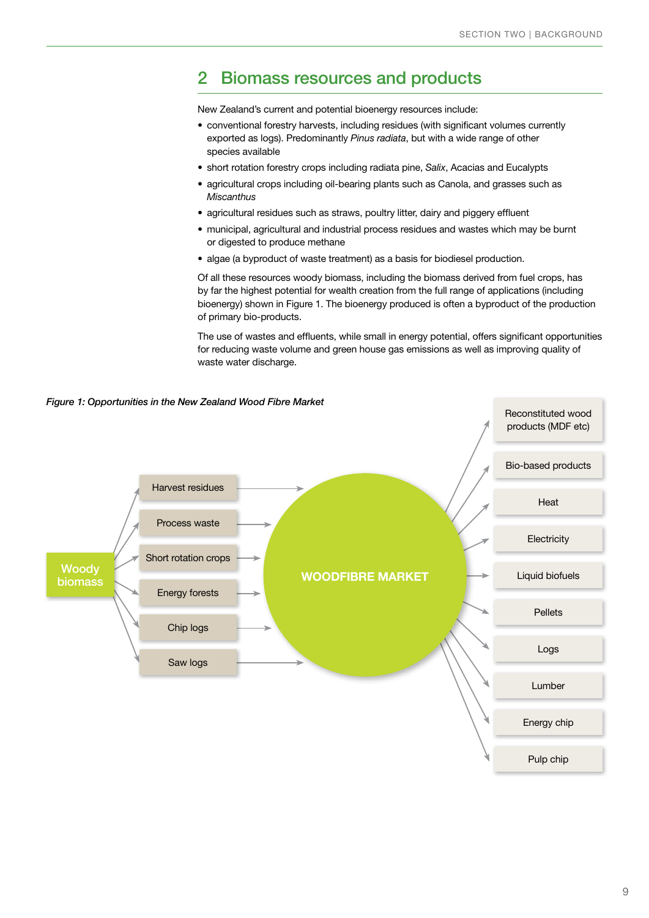### 2 Biomass resources and products

New Zealand's current and potential bioenergy resources include:

- conventional forestry harvests, including residues (with significant volumes currently exported as logs). Predominantly *Pinus radiata*, but with a wide range of other species available
- short rotation forestry crops including radiata pine, Salix, Acacias and Eucalypts
- agricultural crops including oil-bearing plants such as Canola, and grasses such as *Miscanthus*
- agricultural residues such as straws, poultry litter, dairy and piggery effluent
- • municipal, agricultural and industrial process residues and wastes which may be burnt or digested to produce methane
- algae (a byproduct of waste treatment) as a basis for biodiesel production.

Of all these resources woody biomass, including the biomass derived from fuel crops, has by far the highest potential for wealth creation from the full range of applications (including bioenergy) shown in Figure 1. The bioenergy produced is often a byproduct of the production of primary bio-products.

The use of wastes and effluents, while small in energy potential, offers significant opportunities for reducing waste volume and green house gas emissions as well as improving quality of waste water discharge.

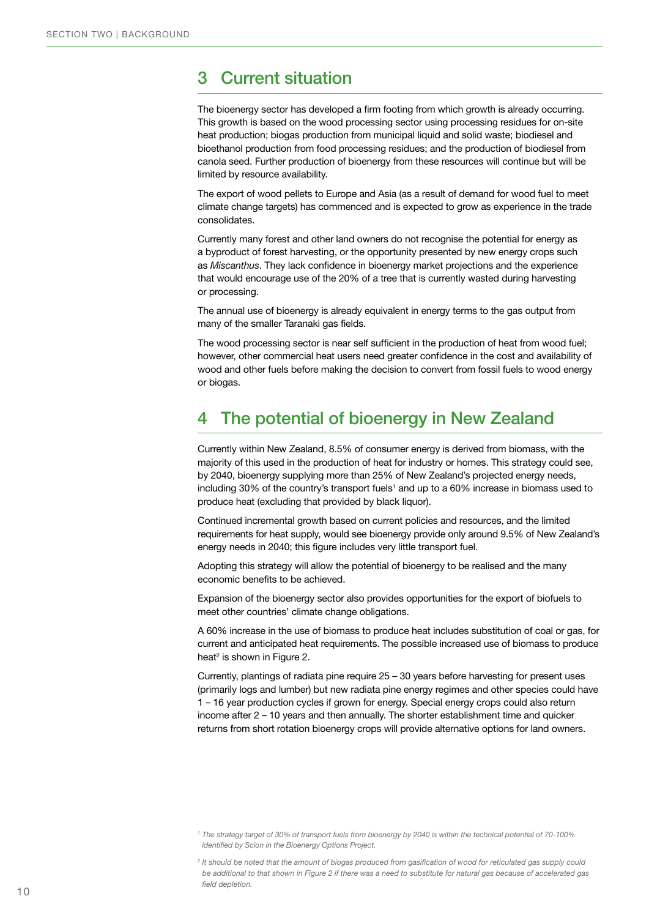# 3 Current situation

The bioenergy sector has developed a firm footing from which growth is already occurring. This growth is based on the wood processing sector using processing residues for on-site heat production; biogas production from municipal liquid and solid waste; biodiesel and bioethanol production from food processing residues; and the production of biodiesel from canola seed. Further production of bioenergy from these resources will continue but will be limited by resource availability.

The export of wood pellets to Europe and Asia (as a result of demand for wood fuel to meet climate change targets) has commenced and is expected to grow as experience in the trade consolidates.

Currently many forest and other land owners do not recognise the potential for energy as a byproduct of forest harvesting, or the opportunity presented by new energy crops such as *Miscanthus*. They lack confidence in bioenergy market projections and the experience that would encourage use of the 20% of a tree that is currently wasted during harvesting or processing.

The annual use of bioenergy is already equivalent in energy terms to the gas output from many of the smaller Taranaki gas fields.

The wood processing sector is near self sufficient in the production of heat from wood fuel; however, other commercial heat users need greater confidence in the cost and availability of wood and other fuels before making the decision to convert from fossil fuels to wood energy or biogas.

# 4 The potential of bioenergy in New Zealand

Currently within New Zealand, 8.5% of consumer energy is derived from biomass, with the majority of this used in the production of heat for industry or homes. This strategy could see, by 2040, bioenergy supplying more than 25% of New Zealand's projected energy needs, including 30% of the country's transport fuels<sup>1</sup> and up to a 60% increase in biomass used to produce heat (excluding that provided by black liquor).

Continued incremental growth based on current policies and resources, and the limited requirements for heat supply, would see bioenergy provide only around 9.5% of New Zealand's energy needs in 2040; this figure includes very little transport fuel.

Adopting this strategy will allow the potential of bioenergy to be realised and the many economic benefits to be achieved.

Expansion of the bioenergy sector also provides opportunities for the export of biofuels to meet other countries' climate change obligations.

A 60% increase in the use of biomass to produce heat includes substitution of coal or gas, for current and anticipated heat requirements. The possible increased use of biomass to produce heat<sup>2</sup> is shown in Figure 2.

Currently, plantings of radiata pine require 25 – 30 years before harvesting for present uses (primarily logs and lumber) but new radiata pine energy regimes and other species could have 1 – 16 year production cycles if grown for energy. Special energy crops could also return income after 2 – 10 years and then annually. The shorter establishment time and quicker returns from short rotation bioenergy crops will provide alternative options for land owners.

*<sup>1</sup> The strategy target of 30% of transport fuels from bioenergy by 2040 is within the technical potential of 70-100% identified by Scion in the Bioenergy Options Project.*

*<sup>2</sup> It should be noted that the amount of biogas produced from gasification of wood for reticulated gas supply could be additional to that shown in Figure 2 if there was a need to substitute for natural gas because of accelerated gas field depletion.*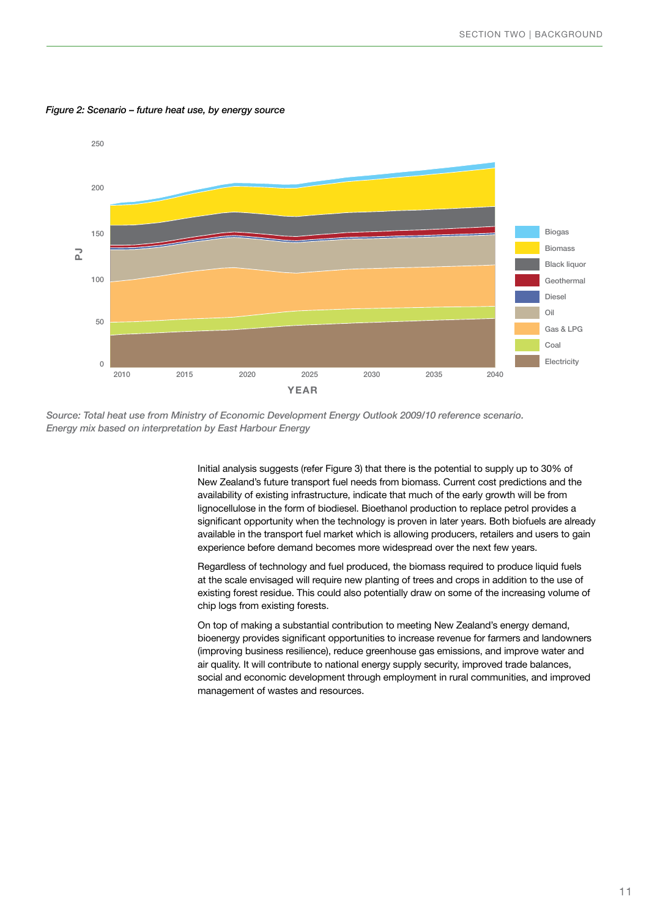

*Figure 2: Scenario – future heat use, by energy source* 

*Source: Total heat use from Ministry of Economic Development Energy Outlook 2009/10 reference scenario. Energy mix based on interpretation by East Harbour Energy* 

> Initial analysis suggests (refer Figure 3) that there is the potential to supply up to 30% of New Zealand's future transport fuel needs from biomass. Current cost predictions and the availability of existing infrastructure, indicate that much of the early growth will be from lignocellulose in the form of biodiesel. Bioethanol production to replace petrol provides a significant opportunity when the technology is proven in later years. Both biofuels are already available in the transport fuel market which is allowing producers, retailers and users to gain experience before demand becomes more widespread over the next few years.

Regardless of technology and fuel produced, the biomass required to produce liquid fuels at the scale envisaged will require new planting of trees and crops in addition to the use of existing forest residue. This could also potentially draw on some of the increasing volume of chip logs from existing forests.

On top of making a substantial contribution to meeting New Zealand's energy demand, bioenergy provides significant opportunities to increase revenue for farmers and landowners (improving business resilience), reduce greenhouse gas emissions, and improve water and air quality. It will contribute to national energy supply security, improved trade balances, social and economic development through employment in rural communities, and improved management of wastes and resources.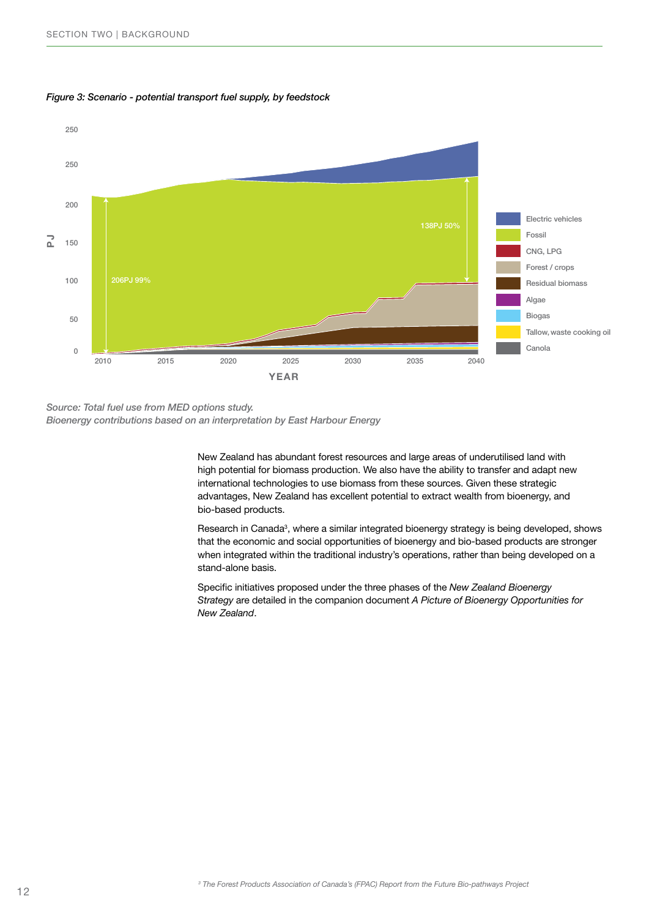

#### *Figure 3: Scenario - potential transport fuel supply, by feedstock*

*Source: Total fuel use from MED options study. Bioenergy contributions based on an interpretation by East Harbour Energy*

> New Zealand has abundant forest resources and large areas of underutilised land with high potential for biomass production. We also have the ability to transfer and adapt new international technologies to use biomass from these sources. Given these strategic advantages, New Zealand has excellent potential to extract wealth from bioenergy, and bio-based products.

Research in Canada<sup>3</sup>, where a similar integrated bioenergy strategy is being developed, shows that the economic and social opportunities of bioenergy and bio-based products are stronger when integrated within the traditional industry's operations, rather than being developed on a stand-alone basis.

Specific initiatives proposed under the three phases of the *New Zealand Bioenergy Strategy* are detailed in the companion document *A Picture of Bioenergy Opportunities for New Zealand*.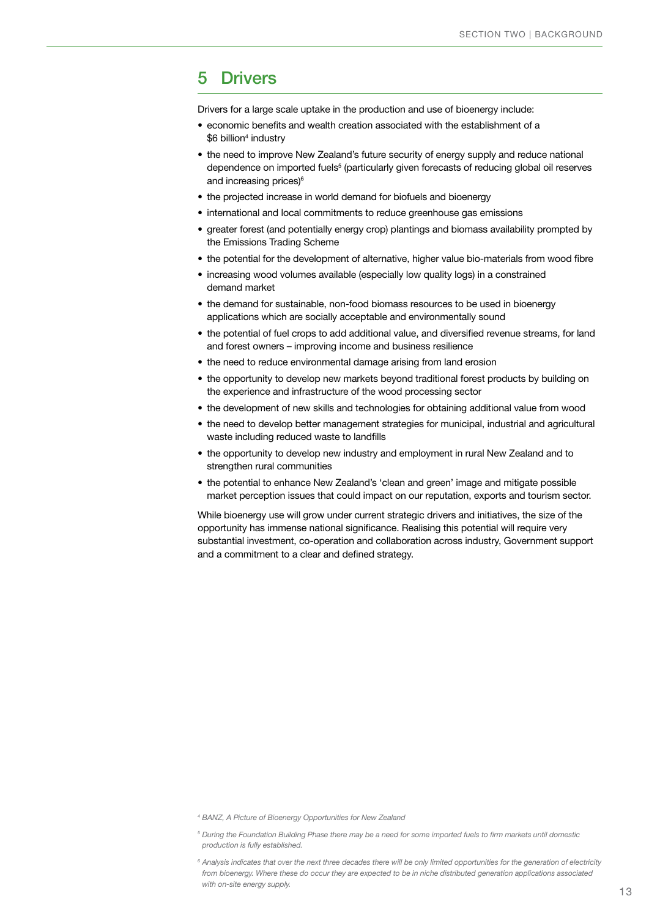### 5 Drivers

Drivers for a large scale uptake in the production and use of bioenergy include:

- economic benefits and wealth creation associated with the establishment of a  $$6$  billion $^4$  industry
- the need to improve New Zealand's future security of energy supply and reduce national dependence on imported fuels<sup>5</sup> (particularly given forecasts of reducing global oil reserves and increasing prices)<sup>6</sup>
- the projected increase in world demand for biofuels and bioenergy
- international and local commitments to reduce greenhouse gas emissions
- • greater forest (and potentially energy crop) plantings and biomass availability prompted by the Emissions Trading Scheme
- the potential for the development of alternative, higher value bio-materials from wood fibre
- increasing wood volumes available (especially low quality logs) in a constrained demand market
- the demand for sustainable, non-food biomass resources to be used in bioenergy applications which are socially acceptable and environmentally sound
- the potential of fuel crops to add additional value, and diversified revenue streams, for land and forest owners – improving income and business resilience
- the need to reduce environmental damage arising from land erosion
- the opportunity to develop new markets beyond traditional forest products by building on the experience and infrastructure of the wood processing sector
- the development of new skills and technologies for obtaining additional value from wood
- the need to develop better management strategies for municipal, industrial and agricultural waste including reduced waste to landfills
- the opportunity to develop new industry and employment in rural New Zealand and to strengthen rural communities
- the potential to enhance New Zealand's 'clean and green' image and mitigate possible market perception issues that could impact on our reputation, exports and tourism sector.

While bioenergy use will grow under current strategic drivers and initiatives, the size of the opportunity has immense national significance. Realising this potential will require very substantial investment, co-operation and collaboration across industry, Government support and a commitment to a clear and defined strategy.

*<sup>4</sup> BANZ, A Picture of Bioenergy Opportunities for New Zealand*

*<sup>5</sup> During the Foundation Building Phase there may be a need for some imported fuels to firm markets until domestic production is fully established.*

*<sup>6</sup> Analysis indicates that over the next three decades there will be only limited opportunities for the generation of electricity from bioenergy. Where these do occur they are expected to be in niche distributed generation applications associated with on-site energy supply.*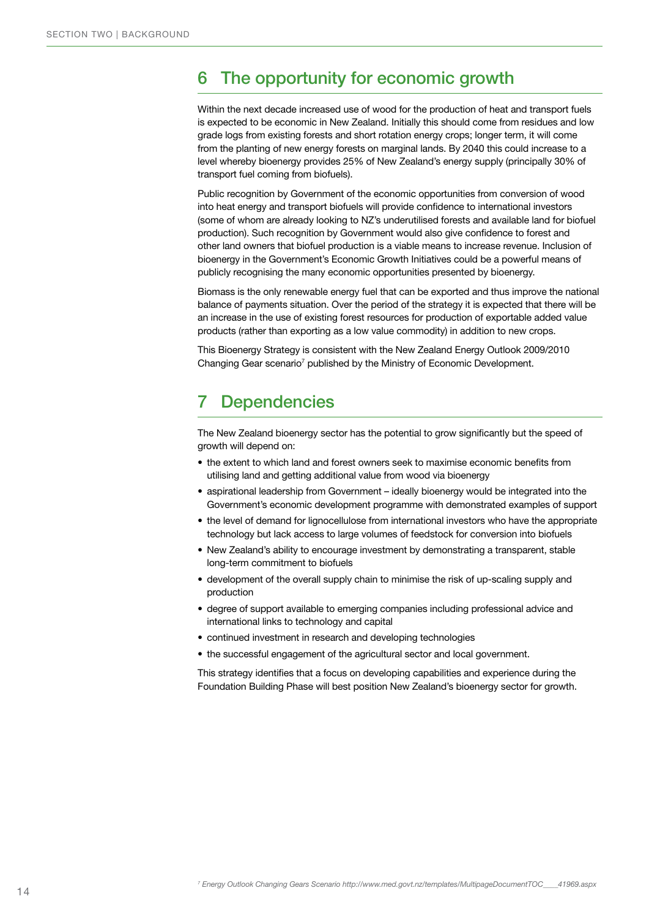# 6 The opportunity for economic growth

Within the next decade increased use of wood for the production of heat and transport fuels is expected to be economic in New Zealand. Initially this should come from residues and low grade logs from existing forests and short rotation energy crops; longer term, it will come from the planting of new energy forests on marginal lands. By 2040 this could increase to a level whereby bioenergy provides 25% of New Zealand's energy supply (principally 30% of transport fuel coming from biofuels).

Public recognition by Government of the economic opportunities from conversion of wood into heat energy and transport biofuels will provide confidence to international investors (some of whom are already looking to NZ's underutilised forests and available land for biofuel production). Such recognition by Government would also give confidence to forest and other land owners that biofuel production is a viable means to increase revenue. Inclusion of bioenergy in the Government's Economic Growth Initiatives could be a powerful means of publicly recognising the many economic opportunities presented by bioenergy.

Biomass is the only renewable energy fuel that can be exported and thus improve the national balance of payments situation. Over the period of the strategy it is expected that there will be an increase in the use of existing forest resources for production of exportable added value products (rather than exporting as a low value commodity) in addition to new crops.

This Bioenergy Strategy is consistent with the New Zealand Energy Outlook 2009/2010 Changing Gear scenario<sup>7</sup> published by the Ministry of Economic Development.

# 7 Dependencies

The New Zealand bioenergy sector has the potential to grow significantly but the speed of growth will depend on:

- the extent to which land and forest owners seek to maximise economic benefits from utilising land and getting additional value from wood via bioenergy
- • aspirational leadership from Government ideally bioenergy would be integrated into the Government's economic development programme with demonstrated examples of support
- the level of demand for lignocellulose from international investors who have the appropriate technology but lack access to large volumes of feedstock for conversion into biofuels
- New Zealand's ability to encourage investment by demonstrating a transparent, stable long-term commitment to biofuels
- development of the overall supply chain to minimise the risk of up-scaling supply and production
- • degree of support available to emerging companies including professional advice and international links to technology and capital
- continued investment in research and developing technologies
- the successful engagement of the agricultural sector and local government.

This strategy identifies that a focus on developing capabilities and experience during the Foundation Building Phase will best position New Zealand's bioenergy sector for growth.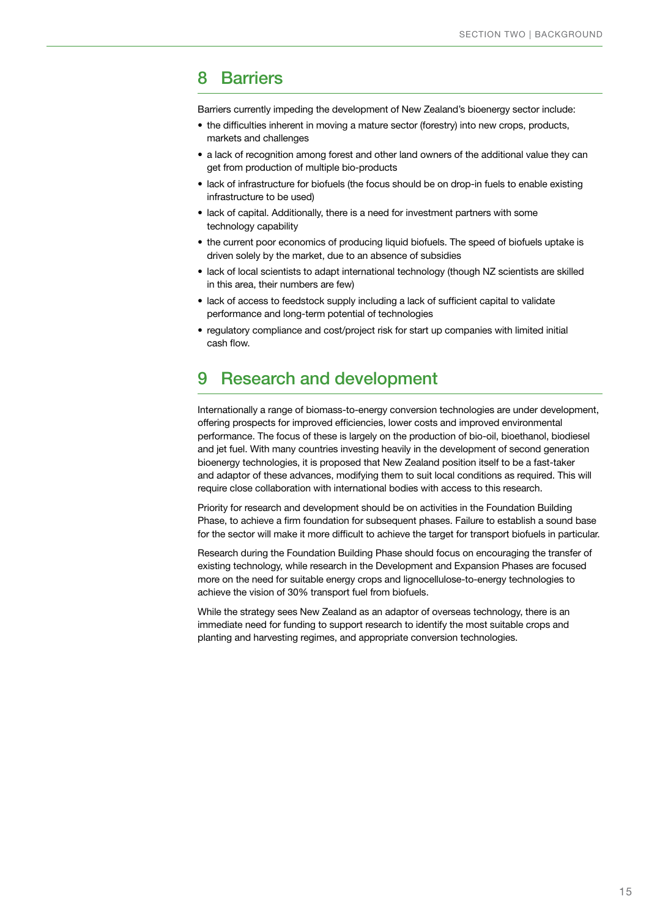### 8 Barriers

Barriers currently impeding the development of New Zealand's bioenergy sector include:

- the difficulties inherent in moving a mature sector (forestry) into new crops, products, markets and challenges
- a lack of recognition among forest and other land owners of the additional value they can get from production of multiple bio-products
- lack of infrastructure for biofuels (the focus should be on drop-in fuels to enable existing infrastructure to be used)
- lack of capital. Additionally, there is a need for investment partners with some technology capability
- the current poor economics of producing liquid biofuels. The speed of biofuels uptake is driven solely by the market, due to an absence of subsidies
- lack of local scientists to adapt international technology (though NZ scientists are skilled in this area, their numbers are few)
- lack of access to feedstock supply including a lack of sufficient capital to validate performance and long-term potential of technologies
- regulatory compliance and cost/project risk for start up companies with limited initial cash flow.

# 9 Research and development

Internationally a range of biomass-to-energy conversion technologies are under development, offering prospects for improved efficiencies, lower costs and improved environmental performance. The focus of these is largely on the production of bio-oil, bioethanol, biodiesel and jet fuel. With many countries investing heavily in the development of second generation bioenergy technologies, it is proposed that New Zealand position itself to be a fast-taker and adaptor of these advances, modifying them to suit local conditions as required. This will require close collaboration with international bodies with access to this research.

Priority for research and development should be on activities in the Foundation Building Phase, to achieve a firm foundation for subsequent phases. Failure to establish a sound base for the sector will make it more difficult to achieve the target for transport biofuels in particular.

Research during the Foundation Building Phase should focus on encouraging the transfer of existing technology, while research in the Development and Expansion Phases are focused more on the need for suitable energy crops and lignocellulose-to-energy technologies to achieve the vision of 30% transport fuel from biofuels.

While the strategy sees New Zealand as an adaptor of overseas technology, there is an immediate need for funding to support research to identify the most suitable crops and planting and harvesting regimes, and appropriate conversion technologies.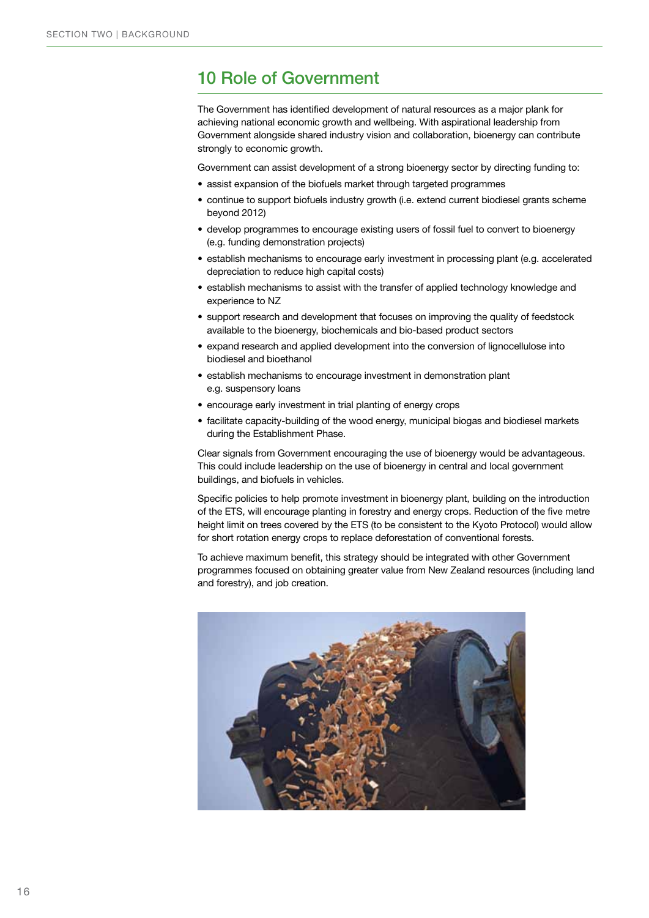### 10 Role of Government

The Government has identified development of natural resources as a major plank for achieving national economic growth and wellbeing. With aspirational leadership from Government alongside shared industry vision and collaboration, bioenergy can contribute strongly to economic growth.

Government can assist development of a strong bioenergy sector by directing funding to:

- assist expansion of the biofuels market through targeted programmes
- • continue to support biofuels industry growth (i.e. extend current biodiesel grants scheme beyond 2012)
- develop programmes to encourage existing users of fossil fuel to convert to bioenergy (e.g. funding demonstration projects)
- establish mechanisms to encourage early investment in processing plant (e.g. accelerated depreciation to reduce high capital costs)
- establish mechanisms to assist with the transfer of applied technology knowledge and experience to NZ
- support research and development that focuses on improving the quality of feedstock available to the bioenergy, biochemicals and bio-based product sectors
- expand research and applied development into the conversion of lignocellulose into biodiesel and bioethanol
- establish mechanisms to encourage investment in demonstration plant e.g. suspensory loans
- encourage early investment in trial planting of energy crops
- • facilitate capacity-building of the wood energy, municipal biogas and biodiesel markets during the Establishment Phase.

Clear signals from Government encouraging the use of bioenergy would be advantageous. This could include leadership on the use of bioenergy in central and local government buildings, and biofuels in vehicles.

Specific policies to help promote investment in bioenergy plant, building on the introduction of the ETS, will encourage planting in forestry and energy crops. Reduction of the five metre height limit on trees covered by the ETS (to be consistent to the Kyoto Protocol) would allow for short rotation energy crops to replace deforestation of conventional forests.

To achieve maximum benefit, this strategy should be integrated with other Government programmes focused on obtaining greater value from New Zealand resources (including land and forestry), and job creation.

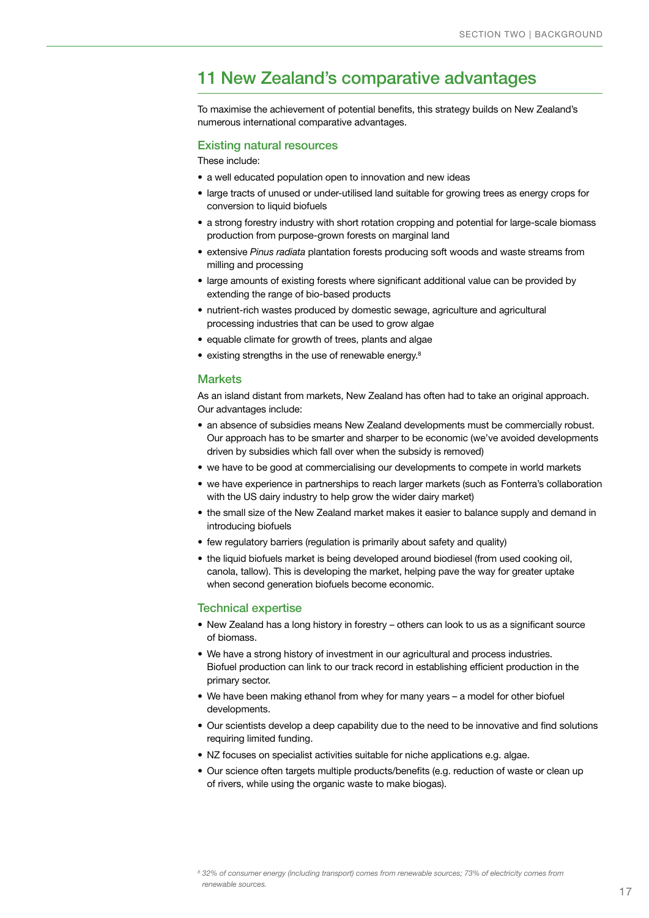# 11 New Zealand's comparative advantages

To maximise the achievement of potential benefits, this strategy builds on New Zealand's numerous international comparative advantages.

#### Existing natural resources

These include:

- a well educated population open to innovation and new ideas
- large tracts of unused or under-utilised land suitable for growing trees as energy crops for conversion to liquid biofuels
- a strong forestry industry with short rotation cropping and potential for large-scale biomass production from purpose-grown forests on marginal land
- • extensive *Pinus radiata* plantation forests producing soft woods and waste streams from milling and processing
- • large amounts of existing forests where significant additional value can be provided by extending the range of bio-based products
- nutrient-rich wastes produced by domestic sewage, agriculture and agricultural processing industries that can be used to grow algae
- equable climate for growth of trees, plants and algae
- $\bullet$  existing strengths in the use of renewable energy.<sup>8</sup>

#### **Markets**

As an island distant from markets, New Zealand has often had to take an original approach. Our advantages include:

- an absence of subsidies means New Zealand developments must be commercially robust. Our approach has to be smarter and sharper to be economic (we've avoided developments driven by subsidies which fall over when the subsidy is removed)
- we have to be good at commercialising our developments to compete in world markets
- we have experience in partnerships to reach larger markets (such as Fonterra's collaboration with the US dairy industry to help grow the wider dairy market)
- the small size of the New Zealand market makes it easier to balance supply and demand in introducing biofuels
- few regulatory barriers (regulation is primarily about safety and quality)
- the liquid biofuels market is being developed around biodiesel (from used cooking oil, canola, tallow). This is developing the market, helping pave the way for greater uptake when second generation biofuels become economic.

#### Technical expertise

- New Zealand has a long history in forestry others can look to us as a significant source of biomass.
- We have a strong history of investment in our agricultural and process industries. Biofuel production can link to our track record in establishing efficient production in the primary sector.
- We have been making ethanol from whey for many years a model for other biofuel developments.
- • Our scientists develop a deep capability due to the need to be innovative and find solutions requiring limited funding.
- NZ focuses on specialist activities suitable for niche applications e.g. algae.
- Our science often targets multiple products/benefits (e.g. reduction of waste or clean up of rivers, while using the organic waste to make biogas).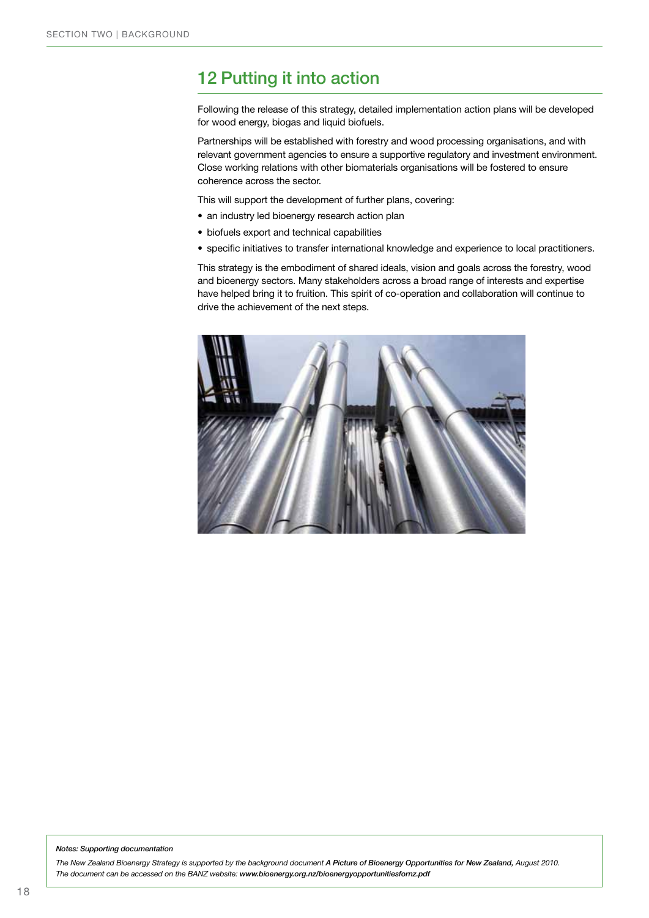# 12 Putting it into action

Following the release of this strategy, detailed implementation action plans will be developed for wood energy, biogas and liquid biofuels.

Partnerships will be established with forestry and wood processing organisations, and with relevant government agencies to ensure a supportive regulatory and investment environment. Close working relations with other biomaterials organisations will be fostered to ensure coherence across the sector.

This will support the development of further plans, covering:

- an industry led bioenergy research action plan
- • biofuels export and technical capabilities
- specific initiatives to transfer international knowledge and experience to local practitioners.

This strategy is the embodiment of shared ideals, vision and goals across the forestry, wood and bioenergy sectors. Many stakeholders across a broad range of interests and expertise have helped bring it to fruition. This spirit of co-operation and collaboration will continue to drive the achievement of the next steps.



#### *Notes: Supporting documentation*

*The New Zealand Bioenergy Strategy is supported by the background document A Picture of Bioenergy Opportunities for New Zealand, August 2010. The document can be accessed on the BANZ website: www.bioenergy.org.nz/bioenergyopportunitiesfornz.pdf*